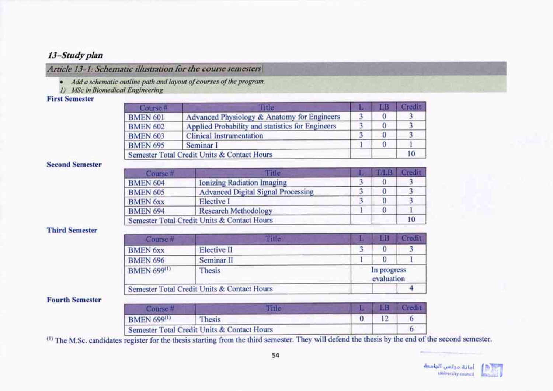# 13-Study plan

Article 13-1: Schematic illustration for the course semesters

- · Add a schematic outline path and layout of courses of the program.
- 1) MSc in Biomedical Engineering

## **First Semester**

| Course #        | Itic                                             | шв | <b>Credit</b> |
|-----------------|--------------------------------------------------|----|---------------|
| <b>BMEN 601</b> | Advanced Physiology & Anatomy for Engineers      |    |               |
| <b>BMEN 602</b> | Applied Probability and statistics for Engineers |    |               |
| <b>BMEN 603</b> | <b>Clinical Instrumentation</b>                  |    |               |
| <b>BMEN 695</b> | Seminar I                                        |    |               |
|                 | Semester Total Credit Units & Contact Hours      |    |               |

#### **Second Semester**

| Course <sup>#</sup> | <b>Title</b>                                |  | <b>TALLE LOTERIT</b> |
|---------------------|---------------------------------------------|--|----------------------|
| <b>BMEN 604</b>     | <b>Ionizing Radiation Imaging</b>           |  |                      |
| <b>BMEN 605</b>     | <b>Advanced Digital Signal Processing</b>   |  |                      |
| <b>BMEN 6xx</b>     | Elective I                                  |  |                      |
| <b>BMEN 694</b>     | <b>Research Methodology</b>                 |  |                      |
|                     | Semester Total Credit Units & Contact Hours |  |                      |

## **Third Semester**

| Course #           | Fitle                                       | 匪                         |  |
|--------------------|---------------------------------------------|---------------------------|--|
| <b>BMEN 6xx</b>    | Elective II                                 | $\bf{0}$                  |  |
| <b>BMEN 696</b>    | Seminar <sub>II</sub>                       |                           |  |
| <b>BMEN 699(1)</b> | Thesis                                      | In progress<br>evaluation |  |
|                    | Semester Total Credit Units & Contact Hours |                           |  |

## **Fourth Semester**

| <b>BMEN 699(1)</b> | l hesis                                     |  |  |
|--------------------|---------------------------------------------|--|--|
|                    | Semester Total Credit Units & Contact Hours |  |  |

(1) The M.Sc. candidates register for the thesis starting from the third semester. They will defend the thesis by the end of the second semester.

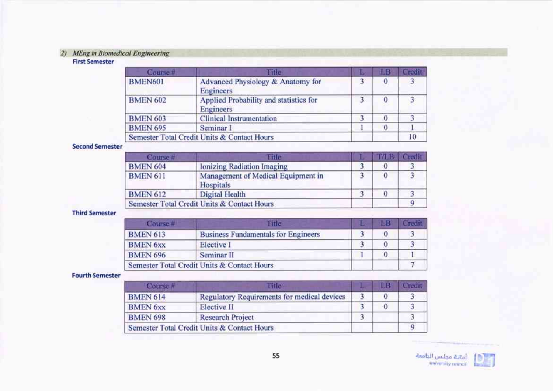# 2) MEng in Biomedical Engineering

## **First Semester**

| Course #        | Fitle                                                      |   | ŁВ       | Credit |
|-----------------|------------------------------------------------------------|---|----------|--------|
| <b>BMEN601</b>  | Advanced Physiology & Anatomy for<br><b>Engineers</b>      | 3 | $\bf{0}$ |        |
| <b>BMEN 602</b> | Applied Probability and statistics for<br><b>Engineers</b> |   | $\bf{0}$ |        |
| <b>BMEN 603</b> | <b>Clinical Instrumentation</b>                            |   | $\Omega$ |        |
| <b>BMEN 695</b> | Seminar I                                                  |   | $\bf{0}$ |        |
|                 | Semester Total Credit Units & Contact Hours                |   |          | 10     |

#### **Second Semester**

| Course #        | Eile                                            | IVI BI | Credit |
|-----------------|-------------------------------------------------|--------|--------|
| <b>BMEN 604</b> | Ionizing Radiation Imaging                      |        |        |
| <b>BMEN 611</b> | Management of Medical Equipment in<br>Hospitals | 0      |        |
| <b>BMEN 612</b> | Digital Health                                  |        |        |
|                 | Semester Total Credit Units & Contact Hours     |        |        |

## **Third Semester**

| Course #        | 散花                                          | ы | reifi |
|-----------------|---------------------------------------------|---|-------|
| <b>BMEN 613</b> | <b>Business Fundamentals for Engineers</b>  |   |       |
| <b>BMEN 6xx</b> | Elective I                                  |   |       |
| <b>BMEN 696</b> | Seminar <sub>II</sub>                       |   |       |
|                 | Semester Total Credit Units & Contact Hours |   |       |

#### **Fourth Semester**

| Course #        | me                                          |          |  |
|-----------------|---------------------------------------------|----------|--|
| <b>BMEN 614</b> | Regulatory Requirements for medical devices |          |  |
| <b>BMEN 6xx</b> | Elective II                                 | $\bf{0}$ |  |
| <b>BMEN 698</b> | <b>Research Project</b>                     |          |  |
|                 | Semester Total Credit Units & Contact Hours |          |  |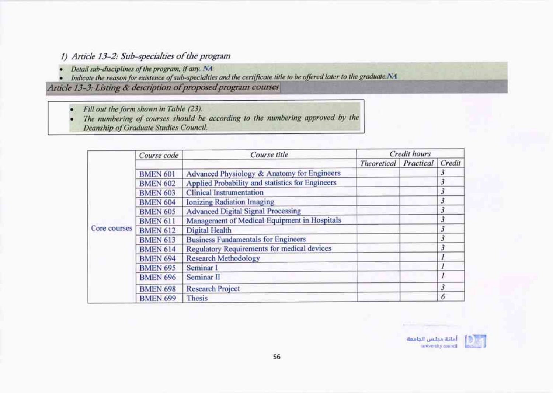# 1) Article 13-2: Sub-specialties of the program

- Detail sub-disciplines of the program, if any. NA
- · Indicate the reason for existence of sub-specialties and the certificate title to be offered later to the graduate.NA

Article 13-3: Listing & description of proposed program courses

Fill out the form shown in Table (23).  $\bullet$ 

The numbering of courses should be according to the numbering approved by the ٠ Deanship of Graduate Studies Council.

|              | Course code     | Course title                                     |                    | Credit hours |        |
|--------------|-----------------|--------------------------------------------------|--------------------|--------------|--------|
|              |                 |                                                  | <b>Theoretical</b> | Practical    | Credit |
|              | <b>BMEN 601</b> | Advanced Physiology & Anatomy for Engineers      |                    |              |        |
|              | <b>BMEN 602</b> | Applied Probability and statistics for Engineers |                    |              | 3      |
|              | <b>BMEN 603</b> | <b>Clinical Instrumentation</b>                  |                    |              | 3      |
|              | <b>BMEN 604</b> | <b>Ionizing Radiation Imaging</b>                |                    |              | 3      |
|              | <b>BMEN 605</b> | <b>Advanced Digital Signal Processing</b>        |                    |              | 3      |
| Core courses | <b>BMEN 611</b> | Management of Medical Equipment in Hospitals     |                    |              | 3      |
|              | <b>BMEN 612</b> | Digital Health                                   |                    |              | 3      |
|              | <b>BMEN 613</b> | <b>Business Fundamentals for Engineers</b>       |                    |              | 3      |
|              | <b>BMEN 614</b> | Regulatory Requirements for medical devices      |                    |              | 3      |
|              | <b>BMEN 694</b> | <b>Research Methodology</b>                      |                    |              |        |
|              | <b>BMEN 695</b> | Seminar I                                        |                    |              |        |
|              | <b>BMEN 696</b> | Seminar <sub>II</sub>                            |                    |              |        |
|              | <b>BMEN 698</b> | <b>Research Project</b>                          |                    |              | 3      |
|              | <b>BMEN 699</b> | Thesis                                           |                    |              | 6      |

أمانة مجلس الجامعة university council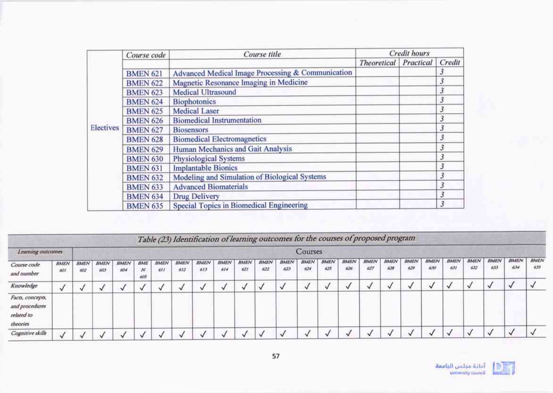|           | Course code     | Course title                                      |                    | Credit hours |                |
|-----------|-----------------|---------------------------------------------------|--------------------|--------------|----------------|
|           |                 |                                                   | <b>Theoretical</b> | Practical    | Credit         |
|           | <b>BMEN 621</b> | Advanced Medical Image Processing & Communication |                    |              | 3              |
|           | <b>BMEN 622</b> | Magnetic Resonance Imaging in Medicine            |                    |              | $\mathfrak{Z}$ |
|           | <b>BMEN 623</b> | Medical Ultrasound                                |                    |              | $\mathfrak{Z}$ |
|           | <b>BMEN 624</b> | <b>Biophotonics</b>                               |                    |              | 3              |
|           | <b>BMEN 625</b> | <b>Medical Laser</b>                              |                    |              | $\mathfrak{Z}$ |
|           | <b>BMEN 626</b> | <b>Biomedical Instrumentation</b>                 |                    |              | 3              |
| Electives | <b>BMEN 627</b> | <b>Biosensors</b>                                 |                    |              | $\mathfrak{Z}$ |
|           | <b>BMEN 628</b> | <b>Biomedical Electromagnetics</b>                |                    |              | 3              |
|           | <b>BMEN 629</b> | Human Mechanics and Gait Analysis                 |                    |              | $\mathfrak{z}$ |
|           | <b>BMEN 630</b> | <b>Physiological Systems</b>                      |                    |              | $\mathbf{3}$   |
|           | <b>BMEN 631</b> | <b>Implantable Bionics</b>                        |                    |              | $\overline{3}$ |
|           | <b>BMEN 632</b> | Modeling and Simulation of Biological Systems     |                    |              | 3              |
|           | <b>BMEN 633</b> | <b>Advanced Biomaterials</b>                      |                    |              | 3              |
|           | <b>BMEN 634</b> | <b>Drug Delivery</b>                              |                    |              | 3              |
|           | <b>BMEN 635</b> | Special Topics in Biomedical Engineering          |                    |              | 3              |

|                                                              |                    |                    |                     |                    |                                   |                    |                    | Table (23) Identification of learning outcomes for the courses of proposed program |                    |                    |                           |                           |                    |                    |                    |                    |                    |                    |                    |             |                    |                    |             |                    |
|--------------------------------------------------------------|--------------------|--------------------|---------------------|--------------------|-----------------------------------|--------------------|--------------------|------------------------------------------------------------------------------------|--------------------|--------------------|---------------------------|---------------------------|--------------------|--------------------|--------------------|--------------------|--------------------|--------------------|--------------------|-------------|--------------------|--------------------|-------------|--------------------|
| Learning outcomes                                            |                    |                    |                     |                    |                                   |                    |                    |                                                                                    |                    |                    |                           |                           | Courses            |                    |                    |                    |                    |                    |                    |             |                    |                    |             |                    |
| Course code<br>and number                                    | <b>BMEN</b><br>601 | <b>BMEN</b><br>602 | <b>BMEN</b><br>60.1 | <b>BMEN</b><br>604 | <b>BME</b><br>$\mathbf{N}$<br>605 | <b>BMEN</b><br>611 | <b>BMEN</b><br>612 | <b>BMEN</b><br>613                                                                 | <b>BMEN</b><br>614 | <b>BMEN</b><br>621 | <b>BMEN</b><br>622<br>೧೯೮ | <i><b>BMEN</b></i><br>623 | <b>BMEN</b><br>624 | <b>BMEN</b><br>625 | <b>BMEN</b><br>626 | <b>BMEN</b><br>627 | <b>BMEN</b><br>628 | <b>BMEN</b><br>629 | <b>BMEN</b><br>630 | BMEN<br>631 | <b>BMEN</b><br>632 | <b>BMEN</b><br>6.U | BMEN<br>634 | <b>BMEN</b><br>635 |
| Knowledge                                                    |                    |                    |                     |                    |                                   |                    |                    |                                                                                    |                    |                    |                           |                           |                    |                    |                    |                    |                    |                    |                    |             |                    |                    |             |                    |
| Facts, concepts,<br>and procedures<br>related to<br>theories |                    |                    |                     |                    |                                   |                    |                    |                                                                                    |                    |                    |                           |                           |                    |                    |                    |                    |                    |                    |                    |             |                    |                    |             |                    |
| Cognitive skills                                             |                    |                    |                     |                    |                                   |                    |                    |                                                                                    |                    |                    |                           |                           |                    |                    |                    |                    |                    |                    |                    |             |                    |                    |             |                    |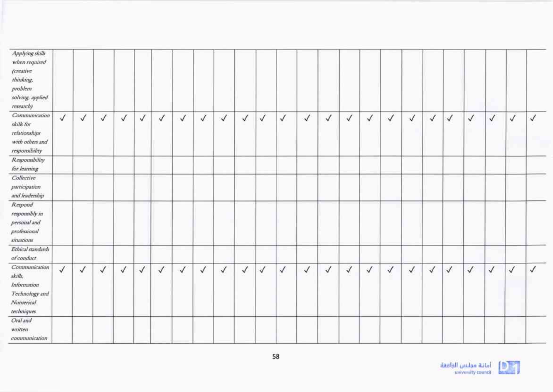| Applying skills<br>when required<br>(creative<br>thinking.<br>problem<br>solving, applied<br>research) |              |              |              |              |              |              |              |              |              |              |              |              |              |              |              |              |              |              |              |              |              |              |              |              |
|--------------------------------------------------------------------------------------------------------|--------------|--------------|--------------|--------------|--------------|--------------|--------------|--------------|--------------|--------------|--------------|--------------|--------------|--------------|--------------|--------------|--------------|--------------|--------------|--------------|--------------|--------------|--------------|--------------|
| Communication<br>skills for<br>relationships<br>with others and<br>responsibility                      | $\checkmark$ | $\checkmark$ | $\checkmark$ | $\checkmark$ | $\checkmark$ | $\checkmark$ | $\checkmark$ | $\sqrt{}$    | $\checkmark$ | $\checkmark$ | $\checkmark$ | $\checkmark$ | $\sqrt{2}$   | $\checkmark$ | $\checkmark$ | $\checkmark$ | $\checkmark$ | $\checkmark$ | $\checkmark$ | $\checkmark$ | $\checkmark$ | $\checkmark$ | $\checkmark$ | $\checkmark$ |
| <b>Responsibility</b><br>for learning                                                                  |              |              |              |              |              |              |              |              |              |              |              |              |              |              |              |              |              |              |              |              |              |              |              |              |
| Collective<br><i>participation</i><br>and leadership                                                   |              |              |              |              |              |              |              |              |              |              |              |              |              |              |              |              |              |              |              |              |              |              |              |              |
| Respond<br>responsibly in<br>personal and<br>professional<br>situations                                |              |              |              |              |              |              |              |              |              |              |              |              |              |              |              |              |              |              |              |              |              |              |              |              |
| Ethical standards<br>of conduct                                                                        |              |              |              |              |              |              |              |              |              |              |              |              |              |              |              |              |              |              |              |              |              |              |              |              |
| Communication<br>skills,<br>Information<br>Technology and<br>Numerical<br>techniques                   | $\checkmark$ | $\checkmark$ | $\checkmark$ | $\checkmark$ | $\checkmark$ | $\checkmark$ | $\checkmark$ | $\checkmark$ | $\checkmark$ | $\checkmark$ | $\checkmark$ | $\checkmark$ | $\checkmark$ | $\checkmark$ | $\checkmark$ | $\checkmark$ | $\checkmark$ | $\checkmark$ | $\checkmark$ | $\checkmark$ | $\checkmark$ | $\checkmark$ | $\checkmark$ | $\checkmark$ |
| Oral and<br>written.<br>communication                                                                  |              |              |              |              |              |              |              |              |              |              |              |              |              |              |              |              |              |              |              |              |              |              |              |              |

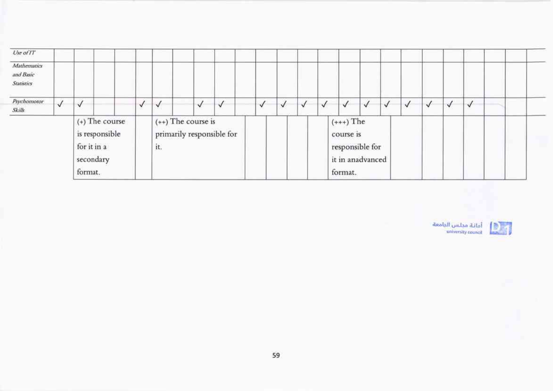| Use of $IT$<br>Mathematics<br>and Basic |              |                                                                           |  |          |                                                          |   |           |   |   |   |                                                                            |              |          |              |   |              |          |   |  |  |
|-----------------------------------------|--------------|---------------------------------------------------------------------------|--|----------|----------------------------------------------------------|---|-----------|---|---|---|----------------------------------------------------------------------------|--------------|----------|--------------|---|--------------|----------|---|--|--|
| <b>Statistics</b>                       |              |                                                                           |  |          |                                                          |   |           |   |   |   |                                                                            |              |          |              |   |              |          |   |  |  |
| Psychomotor<br>Skills                   | $\checkmark$ | $\checkmark$                                                              |  | √<br>n a | √<br>,,,,,                                               | √ | $\sqrt{}$ | ✓ | V | V | $\checkmark$                                                               | $\checkmark$ | <b>V</b> | $\checkmark$ | v | $\checkmark$ | √<br>- 0 | √ |  |  |
|                                         |              | $(+)$ The course<br>is responsible<br>for it in a<br>secondary<br>format. |  |          | $(++)$ The course is<br>primarily responsible for<br>it. |   |           |   |   |   | $(+++)$ The<br>course is<br>responsible for<br>it in anadvanced<br>format. |              |          |              |   |              |          |   |  |  |